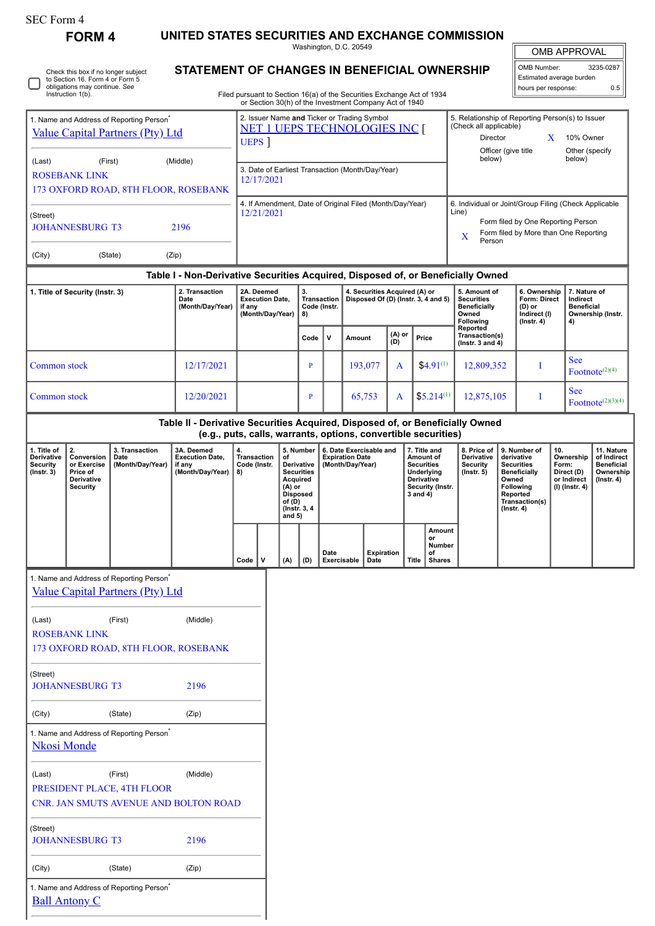ſ

| <b>OMB APPROVAL</b> |           |  |  |  |  |
|---------------------|-----------|--|--|--|--|
| OMB Number:         | 3235-0287 |  |  |  |  |

**7. Nature of Indirect Beneficial Ownership (Instr.**

 $\text{ Footnote}^{(2)(3)(4)}$ 

| <b>FORM 4</b>                                                                                                                | UNITED STATES SECURITIES AND EXCHANGE COMMISSION                                                   |                                                                                                                                  |                                                |   | Washington, D.C. 20549                                                                                        |               |                             |                                                                                                                                                                        |                                                                      | <b>OMB APPROVAL</b>                                                    |  |
|------------------------------------------------------------------------------------------------------------------------------|----------------------------------------------------------------------------------------------------|----------------------------------------------------------------------------------------------------------------------------------|------------------------------------------------|---|---------------------------------------------------------------------------------------------------------------|---------------|-----------------------------|------------------------------------------------------------------------------------------------------------------------------------------------------------------------|----------------------------------------------------------------------|------------------------------------------------------------------------|--|
| Check this box if no longer subject<br>to Section 16. Form 4 or Form 5<br>obligations may continue. See<br>Instruction 1(b). | STATEMENT OF CHANGES IN BENEFICIAL OWNERSHIP                                                       | Filed pursuant to Section 16(a) of the Securities Exchange Act of 1934<br>or Section 30(h) of the Investment Company Act of 1940 |                                                |   |                                                                                                               |               |                             |                                                                                                                                                                        | OMB Number:<br>Estimated average burden<br>hours per response:       | 3235-0287<br>0.5                                                       |  |
| 1. Name and Address of Reporting Person <sup>®</sup><br><b>Value Capital Partners (Pty) Ltd</b>                              | 2. Issuer Name and Ticker or Trading Symbol<br><b>NET 1 UEPS TECHNOLOGIES INC [</b><br><b>UEPS</b> |                                                                                                                                  |                                                |   | 5. Relationship of Reporting Person(s) to Issuer<br>(Check all applicable)<br>Director<br>Officer (give title | X             | 10% Owner<br>Other (specify |                                                                                                                                                                        |                                                                      |                                                                        |  |
| (Last)<br>(First)<br><b>ROSEBANK LINK</b><br>173 OXFORD ROAD, 8TH FLOOR, ROSEBANK                                            | (Middle)                                                                                           | 3. Date of Earliest Transaction (Month/Day/Year)<br>12/17/2021                                                                   |                                                |   |                                                                                                               |               |                             | below)<br>below)                                                                                                                                                       |                                                                      |                                                                        |  |
| (Street)<br><b>JOHANNESBURG T3</b>                                                                                           | 2196                                                                                               | 4. If Amendment, Date of Original Filed (Month/Day/Year)<br>12/21/2021                                                           |                                                |   |                                                                                                               |               |                             | 6. Individual or Joint/Group Filing (Check Applicable<br>Line)<br>Form filed by One Reporting Person<br>Form filed by More than One Reporting<br>$\mathbf x$<br>Person |                                                                      |                                                                        |  |
| (City)<br>(State)                                                                                                            | (Zip)                                                                                              |                                                                                                                                  |                                                |   |                                                                                                               |               |                             |                                                                                                                                                                        |                                                                      |                                                                        |  |
|                                                                                                                              | Table I - Non-Derivative Securities Acquired, Disposed of, or Beneficially Owned                   |                                                                                                                                  |                                                |   |                                                                                                               |               |                             |                                                                                                                                                                        |                                                                      |                                                                        |  |
| 1. Title of Security (Instr. 3)                                                                                              | 2. Transaction<br>Date<br>(Month/Day/Year)                                                         | 2A. Deemed<br><b>Execution Date,</b><br>if any<br>(Month/Day/Year)                                                               | 3.<br><b>Transaction</b><br>Code (Instr.<br>8) |   | 4. Securities Acquired (A) or<br>Disposed Of (D) (Instr. 3, 4 and 5)                                          |               |                             | 5. Amount of<br><b>Securities</b><br><b>Beneficially</b><br>Owned<br>Following                                                                                         | 6. Ownership<br>Form: Direct<br>(D) or<br>Indirect (I)<br>(Instr. 4) | 7. Nature of<br>Indirect<br><b>Beneficial</b><br>Ownership (Inst<br>4) |  |
|                                                                                                                              |                                                                                                    |                                                                                                                                  | Code                                           | v | Amount                                                                                                        | (A) or<br>(D) | Price                       | Reported<br>Transaction(s)<br>( $lnstr. 3 and 4$ )                                                                                                                     |                                                                      |                                                                        |  |
| Common stock                                                                                                                 | 12/17/2021                                                                                         |                                                                                                                                  | P                                              |   | 193,077                                                                                                       | A             | $$4.91^{(1)}$$              | 12,809,352                                                                                                                                                             |                                                                      | <b>See</b><br>Footnote $(2)(4)$                                        |  |
| Common stock                                                                                                                 | 12/20/2021                                                                                         |                                                                                                                                  | P                                              |   | 65,753                                                                                                        | A             | $$5.214^{(1)}$$             | 12,875,105                                                                                                                                                             | Т                                                                    | <b>See</b><br>$\text{ Footnote}^{(2)(3)(4)}$                           |  |
|                                                                                                                              | Table II - Derivative Securities Acquired, Disposed of, or Beneficially Owned                      |                                                                                                                                  |                                                |   |                                                                                                               |               |                             |                                                                                                                                                                        |                                                                      |                                                                        |  |

**(e.g., puts, calls, warrants, options, convertible securities)**

| 1. Title of<br><b>Derivative</b><br><b>Security</b><br>$($ lnstr. 3 $)$ | Conversion<br>or Exercise<br>Price of<br><b>Derivative</b><br>Security | 3. Transaction<br>Date<br>(Month/Day/Year) | 3A. Deemed<br><b>Execution Date,</b><br>if any<br>(Month/Day/Year) | 4.<br>Transaction<br>Code (Instr.<br>8) |  | 5. Number<br>οf<br><b>Derivative</b><br><b>Securities</b><br>Acquired<br>(A) or<br><b>Disposed</b><br>of (D)<br>(Instr. 3, 4)<br>and $5)$ |     | 6. Date Exercisable and<br><b>Expiration Date</b><br>(Month/Day/Year) |                           | 7. Title and<br>Amount of<br><b>Securities</b><br>Underlying<br><b>Derivative</b><br>Security (Instr.<br>3 and 4) |                                               | 8. Price of I<br><b>Derivative</b><br>Security<br>$($ lnstr. 5 $)$ | l 9. Number of<br>derivative<br><b>Securities</b><br><b>Beneficially</b><br>Owned<br>Following<br>Reported<br>Transaction(s)<br>$($ lnstr. 4 $)$ | 10.<br>Ownership<br>Form:<br>Direct (D)<br>or Indirect<br>(I) (Instr. 4) | 11. Nature<br>of Indirect<br><b>Beneficial</b><br>Ownership<br>$($ lnstr. 4 $)$ |
|-------------------------------------------------------------------------|------------------------------------------------------------------------|--------------------------------------------|--------------------------------------------------------------------|-----------------------------------------|--|-------------------------------------------------------------------------------------------------------------------------------------------|-----|-----------------------------------------------------------------------|---------------------------|-------------------------------------------------------------------------------------------------------------------|-----------------------------------------------|--------------------------------------------------------------------|--------------------------------------------------------------------------------------------------------------------------------------------------|--------------------------------------------------------------------------|---------------------------------------------------------------------------------|
|                                                                         |                                                                        |                                            |                                                                    | Code                                    |  | (A)                                                                                                                                       | (D) | Date<br>Exercisable                                                   | <b>Expiration</b><br>Date | Title                                                                                                             | Amount<br>or<br>Number<br>of<br><b>Shares</b> |                                                                    |                                                                                                                                                  |                                                                          |                                                                                 |

1. Name and Address of Reporting Person<sup>\*</sup> [Value Capital Partners \(Pty\) Ltd](http://www.sec.gov/cgi-bin/browse-edgar?action=getcompany&CIK=0001810390) (Last) (First) (Middle) ROSEBANK LINK 173 OXFORD ROAD, 8TH FLOOR, ROSEBANK (Street) JOHANNESBURG T3 2196 (City) (State) (Zip) 1. Name and Address of Reporting Person<sup>7</sup> [Nkosi Monde](http://www.sec.gov/cgi-bin/browse-edgar?action=getcompany&CIK=0001834957) (Last) (First) (Middle) PRESIDENT PLACE, 4TH FLOOR CNR. JAN SMUTS AVENUE AND BOLTON ROAD (Street) JOHANNESBURG T3 2196 (City) (State) (Zip) 1. Name and Address of Reporting Person\* [Ball Antony C](http://www.sec.gov/cgi-bin/browse-edgar?action=getcompany&CIK=0001293885)